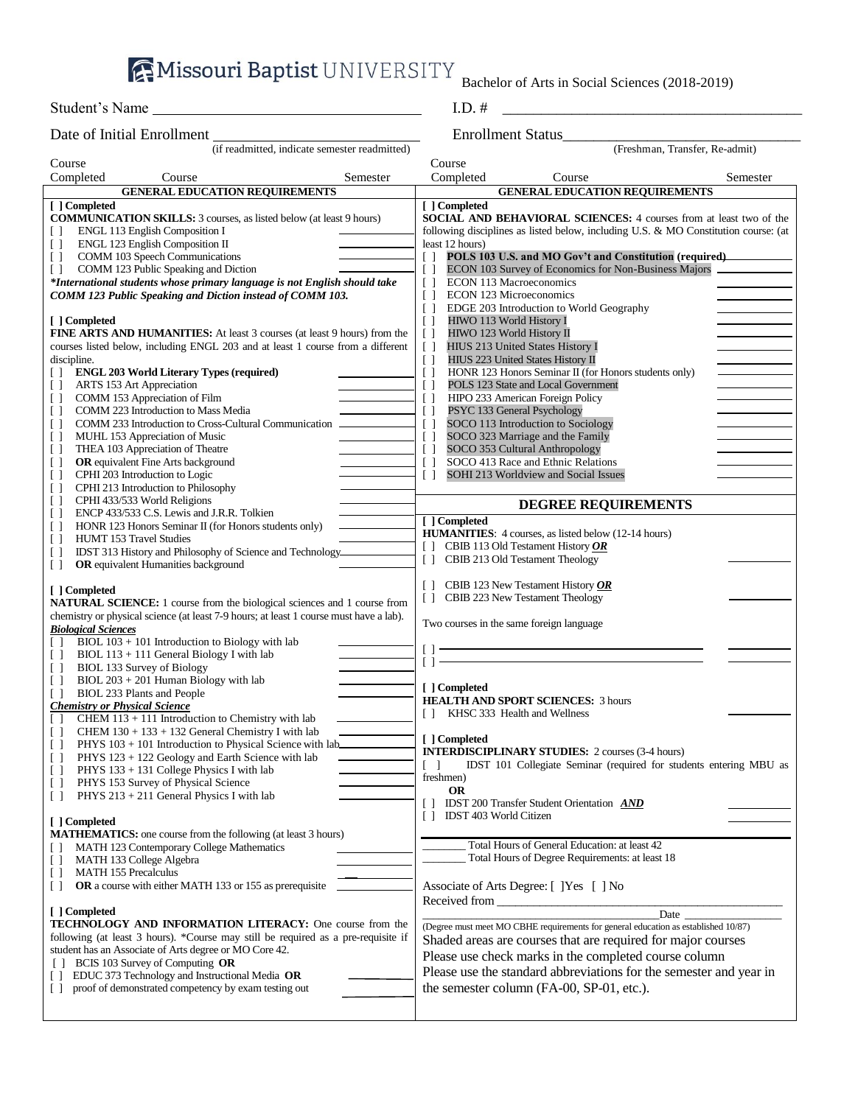**AMissouri Baptist UNIVERSITY** 

Bachelor of Arts in Social Sciences (2018-2019)

| Student's Name             | 1.LJ. 17                 |
|----------------------------|--------------------------|
| Date of Initial Enrollment | <b>Enrollment Status</b> |

| Date of Initial Enrollment                                                                                                                                                                                                                                                                                                                                                                                                                                                                                                                                                                                                                                                                                                                                                                                                                                                                                                                                                                                                                                                                             | Enrollment Status                                                                                                                                                                                                                                                                                                                                                                                                                                                                                                                                                                                                                                                                                                                                                                                                                                                                                                                                                    |
|--------------------------------------------------------------------------------------------------------------------------------------------------------------------------------------------------------------------------------------------------------------------------------------------------------------------------------------------------------------------------------------------------------------------------------------------------------------------------------------------------------------------------------------------------------------------------------------------------------------------------------------------------------------------------------------------------------------------------------------------------------------------------------------------------------------------------------------------------------------------------------------------------------------------------------------------------------------------------------------------------------------------------------------------------------------------------------------------------------|----------------------------------------------------------------------------------------------------------------------------------------------------------------------------------------------------------------------------------------------------------------------------------------------------------------------------------------------------------------------------------------------------------------------------------------------------------------------------------------------------------------------------------------------------------------------------------------------------------------------------------------------------------------------------------------------------------------------------------------------------------------------------------------------------------------------------------------------------------------------------------------------------------------------------------------------------------------------|
| (if readmitted, indicate semester readmitted)                                                                                                                                                                                                                                                                                                                                                                                                                                                                                                                                                                                                                                                                                                                                                                                                                                                                                                                                                                                                                                                          | (Freshman, Transfer, Re-admit)                                                                                                                                                                                                                                                                                                                                                                                                                                                                                                                                                                                                                                                                                                                                                                                                                                                                                                                                       |
| Course                                                                                                                                                                                                                                                                                                                                                                                                                                                                                                                                                                                                                                                                                                                                                                                                                                                                                                                                                                                                                                                                                                 | Course                                                                                                                                                                                                                                                                                                                                                                                                                                                                                                                                                                                                                                                                                                                                                                                                                                                                                                                                                               |
| Completed<br>Course<br>Semester                                                                                                                                                                                                                                                                                                                                                                                                                                                                                                                                                                                                                                                                                                                                                                                                                                                                                                                                                                                                                                                                        | Completed<br>Course<br>Semester                                                                                                                                                                                                                                                                                                                                                                                                                                                                                                                                                                                                                                                                                                                                                                                                                                                                                                                                      |
| <b>GENERAL EDUCATION REQUIREMENTS</b>                                                                                                                                                                                                                                                                                                                                                                                                                                                                                                                                                                                                                                                                                                                                                                                                                                                                                                                                                                                                                                                                  | <b>GENERAL EDUCATION REQUIREMENTS</b>                                                                                                                                                                                                                                                                                                                                                                                                                                                                                                                                                                                                                                                                                                                                                                                                                                                                                                                                |
| [ ] Completed<br><b>COMMUNICATION SKILLS:</b> 3 courses, as listed below (at least 9 hours)<br>ENGL 113 English Composition I<br>$\perp$<br><b>ENGL 123 English Composition II</b><br>$\Box$<br>COMM 103 Speech Communications<br>$\Box$<br>COMM 123 Public Speaking and Diction<br>$\Box$<br>*International students whose primary language is not English should take                                                                                                                                                                                                                                                                                                                                                                                                                                                                                                                                                                                                                                                                                                                                | [ ] Completed<br><b>SOCIAL AND BEHAVIORAL SCIENCES:</b> 4 courses from at least two of the<br>following disciplines as listed below, including U.S. & MO Constitution course: (at<br>least 12 hours)<br>POLS 103 U.S. and MO Gov't and Constitution (required)<br>Γl<br>ECON 103 Survey of Economics for Non-Business Majors<br>$\Box$<br><b>ECON 113 Macroeconomics</b><br>$\Box$                                                                                                                                                                                                                                                                                                                                                                                                                                                                                                                                                                                   |
| COMM 123 Public Speaking and Diction instead of COMM 103.<br>[ ] Completed<br><b>FINE ARTS AND HUMANITIES:</b> At least 3 courses (at least 9 hours) from the<br>courses listed below, including ENGL 203 and at least 1 course from a different<br>discipline.<br><b>ENGL 203 World Literary Types (required)</b><br>LT.<br>ARTS 153 Art Appreciation<br>U<br>COMM 153 Appreciation of Film<br>$\Box$<br>COMM 223 Introduction to Mass Media<br>$\Box$<br>COMM 233 Introduction to Cross-Cultural Communication<br>$\Box$<br>MUHL 153 Appreciation of Music<br>$\Box$<br>THEA 103 Appreciation of Theatre<br>$\Box$<br><b>OR</b> equivalent Fine Arts background<br>$\Box$<br>CPHI 203 Introduction to Logic<br>$\Box$<br>CPHI 213 Introduction to Philosophy<br>$\Box$<br>CPHI 433/533 World Religions<br>$\Box$<br>ENCP 433/533 C.S. Lewis and J.R.R. Tolkien<br>$\Box$<br>HONR 123 Honors Seminar II (for Honors students only)<br>$\perp$<br>HUMT 153 Travel Studies<br>$\Box$<br>IDST 313 History and Philosophy of Science and Technology<br>U<br>OR equivalent Humanities background<br>$\Box$ | <b>ECON 123 Microeconomics</b><br>$\Box$<br>EDGE 203 Introduction to World Geography<br>$\Box$<br>$\Box$<br>HIWO 113 World History I<br>$\Box$<br>HIWO 123 World History II<br>$\left[ \begin{array}{c} \end{array} \right]$<br>HIUS 213 United States History I<br>$\Box$<br>HIUS 223 United States History II<br>HONR 123 Honors Seminar II (for Honors students only)<br>$\Box$<br>POLS 123 State and Local Government<br>$\Box$<br>HIPO 233 American Foreign Policy<br>$\Box$<br>PSYC 133 General Psychology<br>$\Box$<br>SOCO 113 Introduction to Sociology<br>$\Box$<br>SOCO 323 Marriage and the Family<br>$\Box$<br>SOCO 353 Cultural Anthropology<br>$\Box$<br>SOCO 413 Race and Ethnic Relations<br>$\Box$<br>SOHI 213 Worldview and Social Issues<br>$\Box$<br><b>DEGREE REQUIREMENTS</b><br>[ ] Completed<br><b>HUMANITIES:</b> 4 courses, as listed below (12-14 hours)<br>[] CBIB 113 Old Testament History $OR$<br>[] CBIB 213 Old Testament Theology |
| [ ] Completed<br><b>NATURAL SCIENCE:</b> 1 course from the biological sciences and 1 course from<br>chemistry or physical science (at least 7-9 hours; at least 1 course must have a lab).<br><b>Biological Sciences</b>                                                                                                                                                                                                                                                                                                                                                                                                                                                                                                                                                                                                                                                                                                                                                                                                                                                                               | [ ] CBIB 123 New Testament History $OR$<br>CBIB 223 New Testament Theology<br>$\Box$<br>Two courses in the same foreign language                                                                                                                                                                                                                                                                                                                                                                                                                                                                                                                                                                                                                                                                                                                                                                                                                                     |
| $BIOL 103 + 101$ Introduction to Biology with lab<br>$\Box$<br>BIOL 113 + 111 General Biology I with lab<br>$\Box$<br><b>BIOL 133 Survey of Biology</b><br>$\Box$<br>$BIOL 203 + 201$ Human Biology with lab<br>$\Box$<br>BIOL 233 Plants and People<br>$\perp$<br><b>Chemistry or Physical Science</b><br>CHEM $113 + 111$ Introduction to Chemistry with lab                                                                                                                                                                                                                                                                                                                                                                                                                                                                                                                                                                                                                                                                                                                                         | $\Box$<br>$\Box$<br>[ ] Completed<br><b>HEALTH AND SPORT SCIENCES: 3 hours</b><br>[] KHSC 333 Health and Wellness                                                                                                                                                                                                                                                                                                                                                                                                                                                                                                                                                                                                                                                                                                                                                                                                                                                    |
| CHEM $130 + 133 + 132$ General Chemistry I with lab<br>$\Box$<br>$PHYS$ 103 + 101 Introduction to Physical Science with lab<br>$\Box$<br>PHYS 123 + 122 Geology and Earth Science with lab<br>$\Box$<br>PHYS 133 + 131 College Physics I with lab<br>$\perp$<br>PHYS 153 Survey of Physical Science<br>$\Box$<br>PHYS 213 + 211 General Physics I with lab<br>$\Box$                                                                                                                                                                                                                                                                                                                                                                                                                                                                                                                                                                                                                                                                                                                                   | [ ] Completed<br><b>INTERDISCIPLINARY STUDIES:</b> 2 courses (3-4 hours)<br>IDST 101 Collegiate Seminar (required for students entering MBU as<br>$\begin{bmatrix} \end{bmatrix}$<br>freshmen)<br><b>OR</b><br>[] IDST 200 Transfer Student Orientation AND                                                                                                                                                                                                                                                                                                                                                                                                                                                                                                                                                                                                                                                                                                          |
| [ ] Completed<br><b>MATHEMATICS:</b> one course from the following (at least 3 hours)<br>MATH 123 Contemporary College Mathematics<br>MATH 133 College Algebra<br>$\Box$<br><b>MATH 155 Precalculus</b><br>$\Box$<br>OR a course with either MATH 133 or 155 as prerequisite<br>$\Box$                                                                                                                                                                                                                                                                                                                                                                                                                                                                                                                                                                                                                                                                                                                                                                                                                 | IDST 403 World Citizen<br>Total Hours of General Education: at least 42<br>Total Hours of Degree Requirements: at least 18<br>Associate of Arts Degree: [ ]Yes [ ] No                                                                                                                                                                                                                                                                                                                                                                                                                                                                                                                                                                                                                                                                                                                                                                                                |
| [ ] Completed                                                                                                                                                                                                                                                                                                                                                                                                                                                                                                                                                                                                                                                                                                                                                                                                                                                                                                                                                                                                                                                                                          | Received from <b>Exercise 2.2</b>                                                                                                                                                                                                                                                                                                                                                                                                                                                                                                                                                                                                                                                                                                                                                                                                                                                                                                                                    |
| TECHNOLOGY AND INFORMATION LITERACY: One course from the                                                                                                                                                                                                                                                                                                                                                                                                                                                                                                                                                                                                                                                                                                                                                                                                                                                                                                                                                                                                                                               | (Degree must meet MO CBHE requirements for general education as established 10/87)                                                                                                                                                                                                                                                                                                                                                                                                                                                                                                                                                                                                                                                                                                                                                                                                                                                                                   |
| following (at least 3 hours). *Course may still be required as a pre-requisite if                                                                                                                                                                                                                                                                                                                                                                                                                                                                                                                                                                                                                                                                                                                                                                                                                                                                                                                                                                                                                      | Shaded areas are courses that are required for major courses                                                                                                                                                                                                                                                                                                                                                                                                                                                                                                                                                                                                                                                                                                                                                                                                                                                                                                         |
| student has an Associate of Arts degree or MO Core 42.<br>[ ] BCIS 103 Survey of Computing OR<br>[ ] EDUC 373 Technology and Instructional Media OR<br>proof of demonstrated competency by exam testing out<br>$\Box$                                                                                                                                                                                                                                                                                                                                                                                                                                                                                                                                                                                                                                                                                                                                                                                                                                                                                  | Please use check marks in the completed course column<br>Please use the standard abbreviations for the semester and year in<br>the semester column (FA-00, SP-01, etc.).                                                                                                                                                                                                                                                                                                                                                                                                                                                                                                                                                                                                                                                                                                                                                                                             |